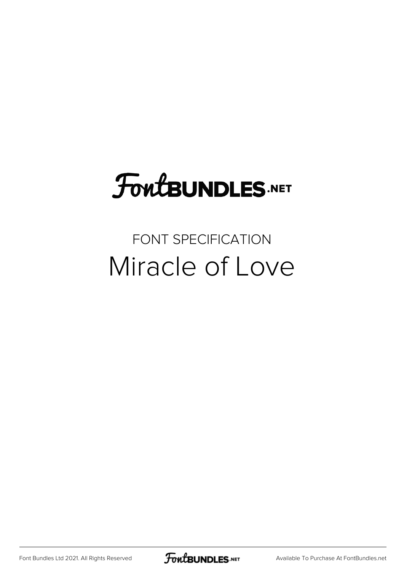# FoutBUNDLES.NET

## FONT SPECIFICATION Miracle of Love

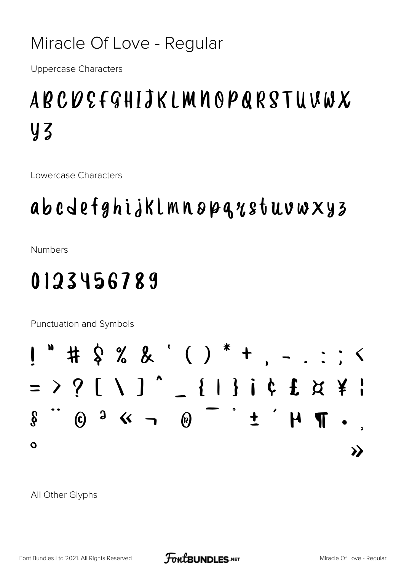#### Miracle Of Love - Regular

**Uppercase Characters** 

## ABCDEFGHIJKLMNOPQRSTUVWX **Y3**

Lowercase Characters

## abcdefghijklmnopqqstuvwxyz

**Numbers** 

## 0123456789

Punctuation and Symbols

All Other Glyphs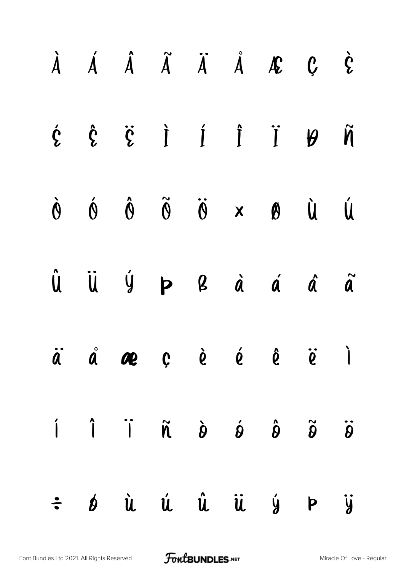|  | $\dot{A}$ $\dot{A}$ $\ddot{A}$ $\ddot{A}$ $\ddot{A}$ $\ddot{A}$ $\ddot{B}$ $C$ $\dot{C}$                                                                                                                                                                                                                                                                                                                                                                                               |  |  |  |
|--|----------------------------------------------------------------------------------------------------------------------------------------------------------------------------------------------------------------------------------------------------------------------------------------------------------------------------------------------------------------------------------------------------------------------------------------------------------------------------------------|--|--|--|
|  | $\dot{Y} \quad \dot{Y} \quad \dot{Y} \quad \dot{Y} \quad \dot{Y} \quad \dot{Y} \quad \dot{Y} \quad \dot{Y}$                                                                                                                                                                                                                                                                                                                                                                            |  |  |  |
|  | $\dot{M} \qquad \dot{M} \qquad \dot{\Theta} \qquad \ddot{\Theta} \qquad \ddot{\Theta} \qquad \dot{\Theta} \qquad \dot{\Theta} \qquad \dot{\Theta} \qquad \dot{\Theta}$                                                                                                                                                                                                                                                                                                                 |  |  |  |
|  | $\hat{\mathsf{u}}\quad\  \  \, \dot{\mathsf{u}}\quad\  \  \, \dot{\mathsf{y}}\qquad\mathsf{p}\qquad\mathsf{g}\qquad\  \, \dot{\mathsf{a}}\qquad\  \, \dot{\mathsf{a}}\qquad\  \, \dot{\mathsf{a}}\qquad\  \, \tilde{\mathsf{a}}\qquad\  \, \tilde{\mathsf{a}}\qquad\  \, \tilde{\mathsf{a}}\qquad\  \, \tilde{\mathsf{a}}\qquad\  \, \tilde{\mathsf{a}}\qquad\  \, \tilde{\mathsf{a}}\qquad\  \, \tilde{\mathsf{a}}\qquad\  \,$                                                        |  |  |  |
|  | $\dot{a}$ $\dot{a}$ $\alpha$ $c$ $\dot{e}$ $\dot{e}$ $\ddot{e}$ $\ddot{e}$ $\ddot{c}$ $\ddot{c}$                                                                                                                                                                                                                                                                                                                                                                                       |  |  |  |
|  | $\begin{matrix} \hat{\mathbf{Q}} & \hat{\mathbf{Q}} & \hat{\mathbf{Q}} & \hat{\mathbf{Q}} & \hat{\mathbf{Q}} & \hat{\mathbf{Q}} & \hat{\mathbf{Q}} & \hat{\mathbf{Q}} & \hat{\mathbf{Q}} & \hat{\mathbf{Q}} & \hat{\mathbf{Q}} & \hat{\mathbf{Q}} & \hat{\mathbf{Q}} & \hat{\mathbf{Q}} & \hat{\mathbf{Q}} & \hat{\mathbf{Q}} & \hat{\mathbf{Q}} & \hat{\mathbf{Q}} & \hat{\mathbf{Q}} & \hat{\mathbf{Q}} & \hat{\mathbf{Q}} & \hat{\mathbf{Q}} & \hat{\mathbf{Q}} & \hat{\mathbf{Q}}$ |  |  |  |
|  | $\div$ bù ú û ü ý Þ ÿ                                                                                                                                                                                                                                                                                                                                                                                                                                                                  |  |  |  |